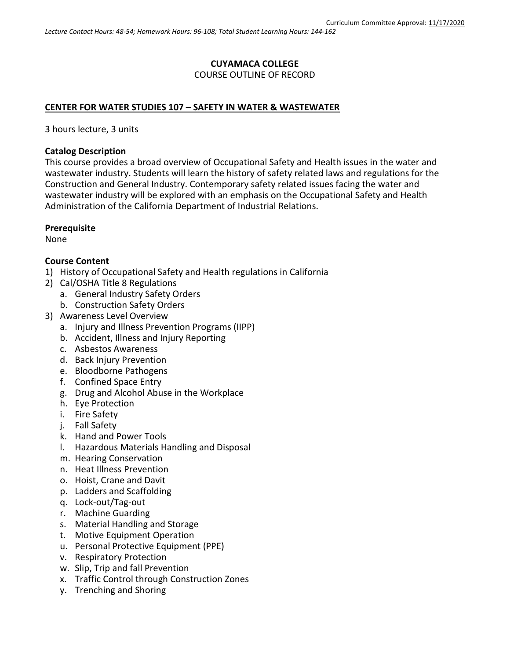# **CUYAMACA COLLEGE**

#### COURSE OUTLINE OF RECORD

#### **CENTER FOR WATER STUDIES 107 – SAFETY IN WATER & WASTEWATER**

3 hours lecture, 3 units

#### **Catalog Description**

This course provides a broad overview of Occupational Safety and Health issues in the water and wastewater industry. Students will learn the history of safety related laws and regulations for the Construction and General Industry. Contemporary safety related issues facing the water and wastewater industry will be explored with an emphasis on the Occupational Safety and Health Administration of the California Department of Industrial Relations.

#### **Prerequisite**

None

#### **Course Content**

- 1) History of Occupational Safety and Health regulations in California
- 2) Cal/OSHA Title 8 Regulations
	- a. General Industry Safety Orders
	- b. Construction Safety Orders
- 3) Awareness Level Overview
	- a. Injury and Illness Prevention Programs (IIPP)
		- b. Accident, Illness and Injury Reporting
		- c. Asbestos Awareness
		- d. Back Injury Prevention
		- e. Bloodborne Pathogens
		- f. Confined Space Entry
		- g. Drug and Alcohol Abuse in the Workplace
		- h. Eye Protection
		- i. Fire Safety
		- j. Fall Safety
		- k. Hand and Power Tools
		- l. Hazardous Materials Handling and Disposal
		- m. Hearing Conservation
		- n. Heat Illness Prevention
		- o. Hoist, Crane and Davit
		- p. Ladders and Scaffolding
		- q. Lock-out/Tag-out
		- r. Machine Guarding
		- s. Material Handling and Storage
		- t. Motive Equipment Operation
		- u. Personal Protective Equipment (PPE)
		- v. Respiratory Protection
		- w. Slip, Trip and fall Prevention
		- x. Traffic Control through Construction Zones
		- y. Trenching and Shoring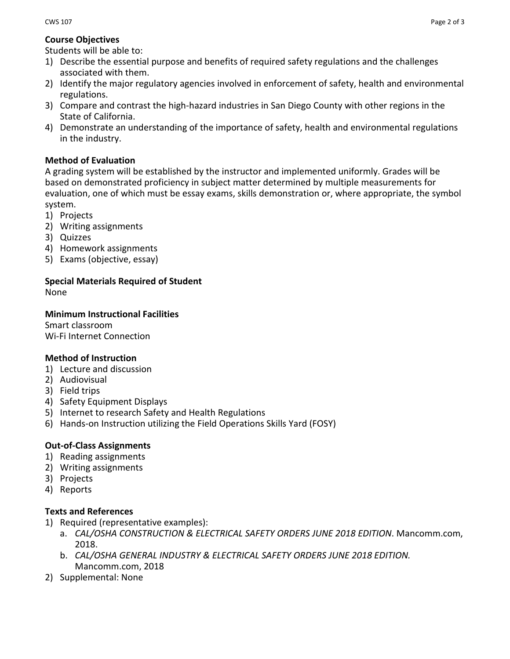#### **Course Objectives**

Students will be able to:

- 1) Describe the essential purpose and benefits of required safety regulations and the challenges associated with them.
- 2) Identify the major regulatory agencies involved in enforcement of safety, health and environmental regulations.
- 3) Compare and contrast the high-hazard industries in San Diego County with other regions in the State of California.
- 4) Demonstrate an understanding of the importance of safety, health and environmental regulations in the industry.

#### **Method of Evaluation**

A grading system will be established by the instructor and implemented uniformly. Grades will be based on demonstrated proficiency in subject matter determined by multiple measurements for evaluation, one of which must be essay exams, skills demonstration or, where appropriate, the symbol system.

- 1) Projects
- 2) Writing assignments
- 3) Quizzes
- 4) Homework assignments
- 5) Exams (objective, essay)

#### **Special Materials Required of Student** None

#### **Minimum Instructional Facilities**

Smart classroom Wi-Fi Internet Connection

## **Method of Instruction**

- 1) Lecture and discussion
- 2) Audiovisual
- 3) Field trips
- 4) Safety Equipment Displays
- 5) Internet to research Safety and Health Regulations
- 6) Hands-on Instruction utilizing the Field Operations Skills Yard (FOSY)

## **Out-of-Class Assignments**

- 1) Reading assignments
- 2) Writing assignments
- 3) Projects
- 4) Reports

#### **Texts and References**

- 1) Required (representative examples):
	- a. *CAL/OSHA CONSTRUCTION & ELECTRICAL SAFETY ORDERS JUNE 2018 EDITION*. Mancomm.com, 2018.
	- b. *CAL/OSHA GENERAL INDUSTRY & ELECTRICAL SAFETY ORDERS JUNE 2018 EDITION.* Mancomm.com, 2018
- 2) Supplemental: None